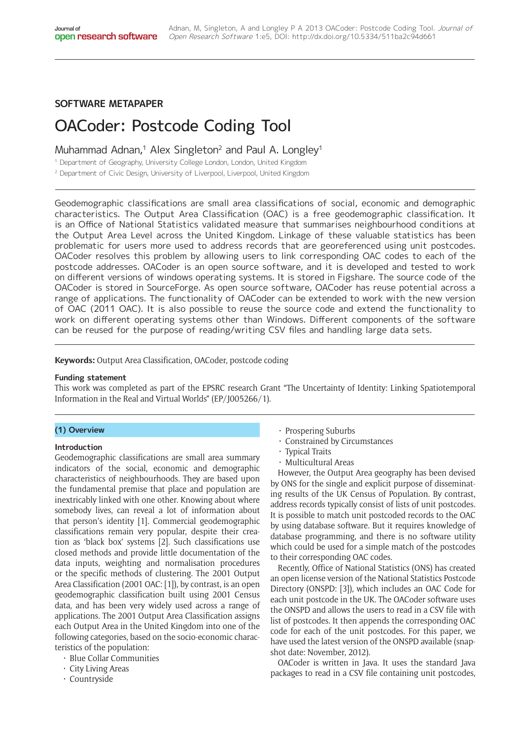# **SOFTWARE METAPAPER**

# OACoder: Postcode Coding Tool

# Muhammad Adnan,<sup>1</sup> Alex Singleton<sup>2</sup> and Paul A. Longley<sup>1</sup>

<sup>1</sup> Department of Geography, University College London, London, United Kingdom

<sup>2</sup> Department of Civic Design, University of Liverpool, Liverpool, United Kingdom

Geodemographic classifications are small area classifications of social, economic and demographic characteristics. The Output Area Classification (OAC) is a free geodemographic classification. It is an Office of National Statistics validated measure that summarises neighbourhood conditions at the Output Area Level across the United Kingdom. Linkage of these valuable statistics has been problematic for users more used to address records that are georeferenced using unit postcodes. OACoder resolves this problem by allowing users to link corresponding OAC codes to each of the postcode addresses. OACoder is an open source software, and it is developed and tested to work on different versions of windows operating systems. It is stored in Figshare. The source code of the OACoder is stored in SourceForge. As open source software, OACoder has reuse potential across a range of applications. The functionality of OACoder can be extended to work with the new version of OAC (2011 OAC). It is also possible to reuse the source code and extend the functionality to work on different operating systems other than Windows. Different components of the software can be reused for the purpose of reading/writing CSV files and handling large data sets.

## **Keywords:** Output Area Classification, OACoder, postcode coding

#### **Funding statement**

This work was completed as part of the EPSRC research Grant "The Uncertainty of Identity: Linking Spatiotemporal Information in the Real and Virtual Worlds" (EP/J005266/1).

#### **(1) Overview**

#### **Introduction**

Geodemographic classifications are small area summary indicators of the social, economic and demographic characteristics of neighbourhoods. They are based upon the fundamental premise that place and population are inextricably linked with one other. Knowing about where somebody lives, can reveal a lot of information about that person's identity [1]. Commercial geodemographic classifications remain very popular, despite their creation as 'black box' systems [2]. Such classifications use closed methods and provide little documentation of the data inputs, weighting and normalisation procedures or the specific methods of clustering. The 2001 Output Area Classification (2001 OAC: [1]), by contrast, is an open geodemographic classification built using 2001 Census data, and has been very widely used across a range of applications. The 2001 Output Area Classification assigns each Output Area in the United Kingdom into one of the following categories, based on the socio-economic characteristics of the population:

- • Blue Collar Communities
- • City Living Areas
- • Countryside
- $\cdot$  Prospering Suburbs
- • Constrained by Circumstances
- Typical Traits
- • Multicultural Areas

However, the Output Area geography has been devised by ONS for the single and explicit purpose of disseminating results of the UK Census of Population. By contrast, address records typically consist of lists of unit postcodes. It is possible to match unit postcoded records to the OAC by using database software. But it requires knowledge of database programming, and there is no software utility which could be used for a simple match of the postcodes to their corresponding OAC codes.

Recently, Office of National Statistics (ONS) has created an open license version of the National Statistics Postcode Directory (ONSPD: [3]), which includes an OAC Code for each unit postcode in the UK. The OACoder software uses the ONSPD and allows the users to read in a CSV file with list of postcodes. It then appends the corresponding OAC code for each of the unit postcodes. For this paper, we have used the latest version of the ONSPD available (snapshot date: November, 2012).

OACoder is written in Java. It uses the standard Java packages to read in a CSV file containing unit postcodes,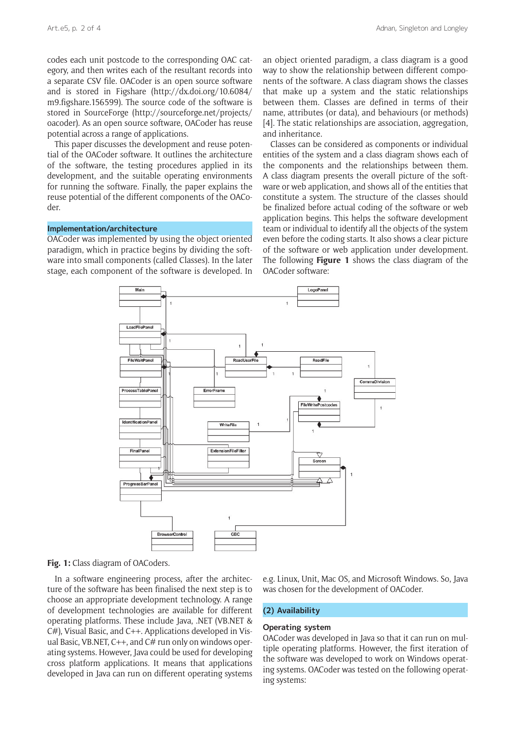codes each unit postcode to the corresponding OAC category, and then writes each of the resultant records into a separate CSV file. OACoder is an open source software and is stored in Figshare ([http://dx.doi.org/10.6084/](http://dx.doi.org/10.6084/m9.figshare.156599) [m9.figshare.156599\)](http://dx.doi.org/10.6084/m9.figshare.156599). The source code of the software is stored in SourceForge [\(http://sourceforge.net/projects/](http://sourceforge.net/projects/oacoder) [oacoder](http://sourceforge.net/projects/oacoder)). As an open source software, OACoder has reuse potential across a range of applications.

This paper discusses the development and reuse potential of the OACoder software. It outlines the architecture of the software, the testing procedures applied in its development, and the suitable operating environments for running the software. Finally, the paper explains the reuse potential of the different components of the OACoder.

#### **Implementation/architecture**

OACoder was implemented by using the object oriented paradigm, which in practice begins by dividing the software into small components (called Classes). In the later stage, each component of the software is developed. In an object oriented paradigm, a class diagram is a good way to show the relationship between different components of the software. A class diagram shows the classes that make up a system and the static relationships between them. Classes are defined in terms of their name, attributes (or data), and behaviours (or methods) [4]. The static relationships are association, aggregation. and inheritance.

Classes can be considered as components or individual entities of the system and a class diagram shows each of the components and the relationships between them. A class diagram presents the overall picture of the software or web application, and shows all of the entities that constitute a system. The structure of the classes should be finalized before actual coding of the software or web application begins. This helps the software development team or individual to identify all the objects of the system even before the coding starts. It also shows a clear picture of the software or web application under development. The following **Figure 1** shows the class diagram of the OACoder software:



**Fig. 1:** Class diagram of OACoders.

In a software engineering process, after the architecture of the software has been finalised the next step is to choose an appropriate development technology. A range of development technologies are available for different operating platforms. These include Java, .NET (VB.NET & C#), Visual Basic, and C++. Applications developed in Visual Basic, VB.NET, C++, and C# run only on windows operating systems. However, Java could be used for developing cross platform applications. It means that applications developed in Java can run on different operating systems e.g. Linux, Unit, Mac OS, and Microsoft Windows. So, Java was chosen for the development of OACoder.

# **(2) Availability**

# **Operating system**

OACoder was developed in Java so that it can run on multiple operating platforms. However, the first iteration of the software was developed to work on Windows operating systems. OACoder was tested on the following operating systems: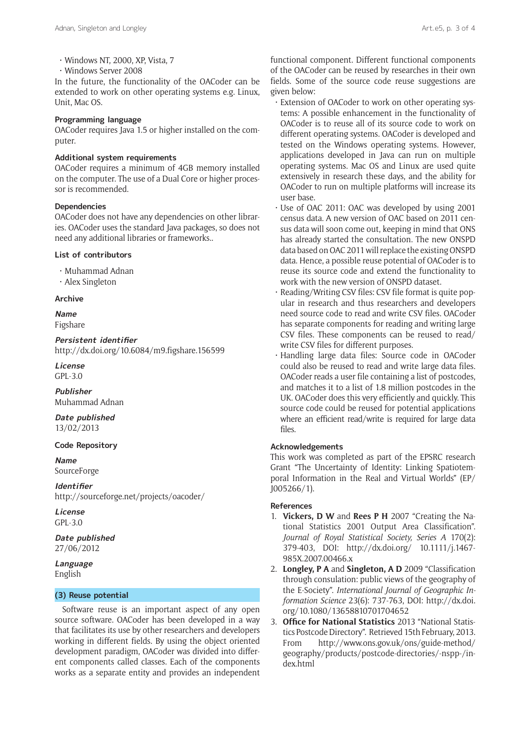- • Windows NT, 2000, XP, Vista, 7
- • Windows Server 2008

In the future, the functionality of the OACoder can be extended to work on other operating systems e.g. Linux, Unit, Mac OS.

#### **Programming language**

OACoder requires Java 1.5 or higher installed on the computer.

# **Additional system requirements**

OACoder requires a minimum of 4GB memory installed on the computer. The use of a Dual Core or higher processor is recommended.

# **Dependencies**

OACoder does not have any dependencies on other libraries. OACoder uses the standard Java packages, so does not need any additional libraries or frameworks..

## **List of contributors**

• Muhammad Adnan

• Alex Singleton

#### **Archive**

**Name** Figshare

**Persistent identifier** <http://dx.doi.org/10.6084/m9.figshare.156599>

**License** GPL-3.0

**Publisher** Muhammad Adnan

**Date published** 13/02/2013

## **Code Repository**

**Name** SourceForge

**Identifier** <http://sourceforge.net/projects/oacoder/>

**License** GPL-3.0

**Date published** 27/06/2012

**Language** English

## **(3) Reuse potential**

Software reuse is an important aspect of any open source software. OACoder has been developed in a way that facilitates its use by other researchers and developers working in different fields. By using the object oriented development paradigm, OACoder was divided into different components called classes. Each of the components works as a separate entity and provides an independent functional component. Different functional components of the OACoder can be reused by researches in their own fields. Some of the source code reuse suggestions are given below:

- • Extension of OACoder to work on other operating systems: A possible enhancement in the functionality of OACoder is to reuse all of its source code to work on different operating systems. OACoder is developed and tested on the Windows operating systems. However, applications developed in Java can run on multiple operating systems. Mac OS and Linux are used quite extensively in research these days, and the ability for OACoder to run on multiple platforms will increase its user base.
- • Use of OAC 2011: OAC was developed by using 2001 census data. A new version of OAC based on 2011 census data will soon come out, keeping in mind that ONS has already started the consultation. The new ONSPD data based on OAC 2011 will replace the existing ONSPD data. Hence, a possible reuse potential of OACoder is to reuse its source code and extend the functionality to work with the new version of ONSPD dataset.
- • Reading/Writing CSV files: CSV file format is quite popular in research and thus researchers and developers need source code to read and write CSV files. OACoder has separate components for reading and writing large CSV files. These components can be reused to read/ write CSV files for different purposes.
- • Handling large data files: Source code in OACoder could also be reused to read and write large data files. OACoder reads a user file containing a list of postcodes, and matches it to a list of 1.8 million postcodes in the UK. OACoder does this very efficiently and quickly. This source code could be reused for potential applications where an efficient read/write is required for large data files.

# **Acknowledgements**

This work was completed as part of the EPSRC research Grant "The Uncertainty of Identity: Linking Spatiotemporal Information in the Real and Virtual Worlds" (EP/ J005266/1).

#### **References**

- 1. **Vickers, D W** and **Rees P H** 2007 "Creating the National Statistics 2001 Output Area Classification". *Journal of Royal Statistical Society, Series A* 170(2): 379-403, DOI: [http://dx.doi.org/ 10.1111/j.1467-](http://dx.doi.org/ 10.1111/j.1467-985X.2007.00466.x ) [985X.2007.00466.x](http://dx.doi.org/ 10.1111/j.1467-985X.2007.00466.x )
- 2. **Longley, P A** and **Singleton, A D** 2009 "Classification through consulation: public views of the geography of the E-Society". *International Journal of Geographic Information Science* 23(6): 737-763, DOI: [http://dx.doi.](http://dx.doi.org/10.1080/13658810701704652) [org/10.1080/13658810701704652](http://dx.doi.org/10.1080/13658810701704652)
- 3. **Office for National Statistics** 2013 "National Statistics Postcode Directory". Retrieved 15th February, 2013. From [http://www.ons.gov.uk/ons/guide-method/](http://www.ons.gov.uk/ons/guide-method/geography/products/postcode-directories/-nspp-/index.html) [geography/products/postcode-directories/-nspp-/in](http://www.ons.gov.uk/ons/guide-method/geography/products/postcode-directories/-nspp-/index.html)[dex.html](http://www.ons.gov.uk/ons/guide-method/geography/products/postcode-directories/-nspp-/index.html)